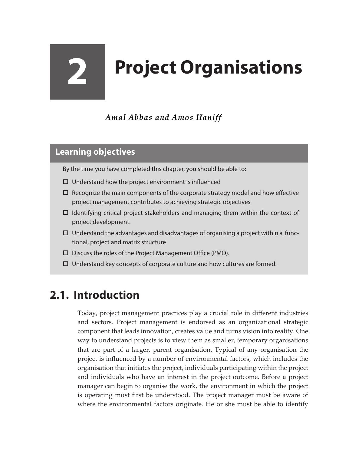# **2 Project Organisations**

*Amal Abbas and Amos Haniff* 

#### **Learning objectives**

By the time you have completed this chapter, you should be able to:

- $\Box$  Understand how the project environment is influenced
- $\Box$  Recognize the main components of the corporate strategy model and how effective project management contributes to achieving strategic objectives
- $\Box$  Identifying critical project stakeholders and managing them within the context of project development.
- $\Box$  Understand the advantages and disadvantages of organising a project within a functional, project and matrix structure
- Discuss the roles of the Project Management Office (PMO).
- $\Box$  Understand key concepts of corporate culture and how cultures are formed.

## **2.1. Introduction**

Today, project management practices play a crucial role in different industries and sectors. Project management is endorsed as an organizational strategic component that leads innovation, creates value and turns vision into reality. One way to understand projects is to view them as smaller, temporary organisations that are part of a larger, parent organisation. Typical of any organisation the project is influenced by a number of environmental factors, which includes the organisation that initiates the project, individuals participating within the project and individuals who have an interest in the project outcome. Before a project manager can begin to organise the work, the environment in which the project is operating must first be understood. The project manager must be aware of where the environmental factors originate. He or she must be able to identify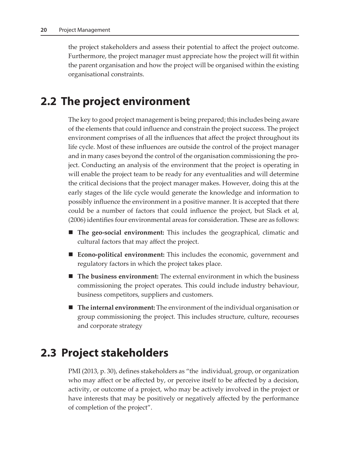the project stakeholders and assess their potential to affect the project outcome. Furthermore, the project manager must appreciate how the project will fit within the parent organisation and how the project will be organised within the existing organisational constraints.

### **2.2 The project environment**

The key to good project management is being prepared; this includes being aware of the elements that could influence and constrain the project success. The project environment comprises of all the influences that affect the project throughout its life cycle. Most of these influences are outside the control of the project manager and in many cases beyond the control of the organisation commissioning the project. Conducting an analysis of the environment that the project is operating in will enable the project team to be ready for any eventualities and will determine the critical decisions that the project manager makes. However, doing this at the early stages of the life cycle would generate the knowledge and information to possibly influence the environment in a positive manner. It is accepted that there could be a number of factors that could influence the project, but Slack et al, (2006) identifies four environmental areas for consideration. These are as follows:

- **The geo-social environment:** This includes the geographical, climatic and cultural factors that may affect the project.
- **Econo-political environment:** This includes the economic, government and regulatory factors in which the project takes place.
- **The business environment:** The external environment in which the business commissioning the project operates. This could include industry behaviour, business competitors, suppliers and customers.
- **The internal environment:** The environment of the individual organisation or group commissioning the project. This includes structure, culture, recourses and corporate strategy

#### **2.3 Project stakeholders**

PMI (2013, p. 30), defines stakeholders as "the individual, group, or organization who may affect or be affected by, or perceive itself to be affected by a decision, activity, or outcome of a project, who may be actively involved in the project or have interests that may be positively or negatively affected by the performance of completion of the project".